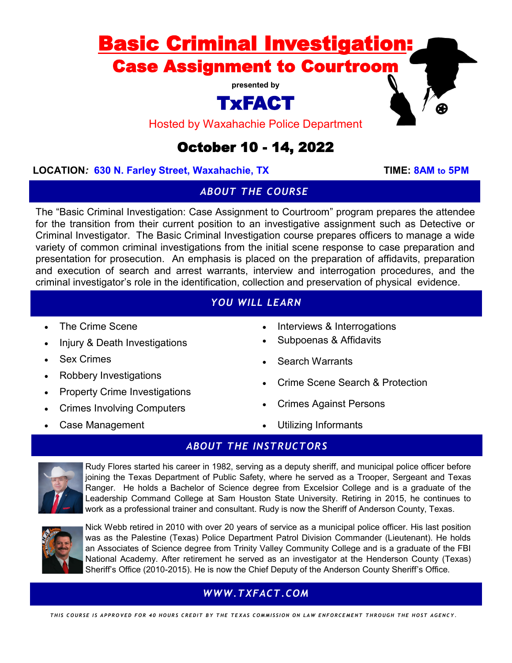# Basic Criminal Investigation: Case Assignment to Courtroom

**presented by**

# TxFACT

Hosted by Waxahachie Police Department

## October 10 - 14, 2022

#### **LOCATION***:* **630 N. Farley Street, Waxahachie, TX TIME: 8AM to 5PM**

#### *ABOUT THE COURSE*

The "Basic Criminal Investigation: Case Assignment to Courtroom" program prepares the attendee for the transition from their current position to an investigative assignment such as Detective or Criminal Investigator. The Basic Criminal Investigation course prepares officers to manage a wide variety of common criminal investigations from the initial scene response to case preparation and presentation for prosecution. An emphasis is placed on the preparation of affidavits, preparation and execution of search and arrest warrants, interview and interrogation procedures, and the criminal investigator's role in the identification, collection and preservation of physical evidence.

### *YOU WILL LEARN*

- The Crime Scene
- Injury & Death Investigations
- **Sex Crimes**
- Robbery Investigations
- Property Crime Investigations
- Crimes Involving Computers
- Case Management
- Interviews & Interrogations
- Subpoenas & Affidavits
- **Search Warrants**
- Crime Scene Search & Protection
- Crimes Against Persons
- Utilizing Informants

#### *ABOUT THE INSTRUCTORS*



Rudy Flores started his career in 1982, serving as a deputy sheriff, and municipal police officer before joining the Texas Department of Public Safety, where he served as a Trooper, Sergeant and Texas Ranger. He holds a Bachelor of Science degree from Excelsior College and is a graduate of the Leadership Command College at Sam Houston State University. Retiring in 2015, he continues to work as a professional trainer and consultant. Rudy is now the Sheriff of Anderson County, Texas.



Nick Webb retired in 2010 with over 20 years of service as a municipal police officer. His last position was as the Palestine (Texas) Police Department Patrol Division Commander (Lieutenant). He holds an Associates of Science degree from Trinity Valley Community College and is a graduate of the FBI National Academy. After retirement he served as an investigator at the Henderson County (Texas) Sheriff's Office (2010-2015). He is now the Chief Deputy of the Anderson County Sheriff's Office.

### *WWW.TXFACT.COM*

THIS COURSE IS APPROVED FOR 40 HOURS CREDIT BY THE TEXAS COMMISSION ON LAW ENFORCEMENT THROUGH THE HOST AGENCY.